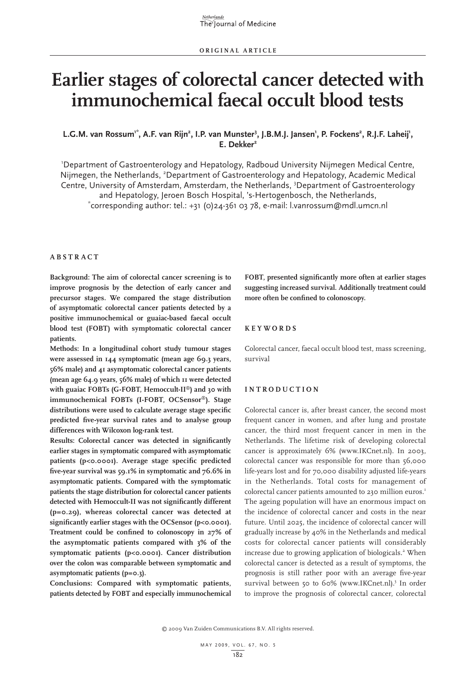# **Earlier stages of colorectal cancer detected with immunochemical faecal occult blood tests**

# L.G.M. van Rossum<sup>1\*</sup>, A.F. van Rijn<sup>2</sup>, I.P. van Munster<sup>3</sup>, J.B.M.J. Jansen<sup>1</sup>, P. Fockens<sup>2</sup>, R.J.F. Laheij<sup>1</sup>, **E. Dekker2**

1 Department of Gastroenterology and Hepatology, Radboud University Nijmegen Medical Centre, Nijmegen, the Netherlands, <sup>2</sup>Department of Gastroenterology and Hepatology, Academic Medical Centre, University of Amsterdam, Amsterdam, the Netherlands, <sup>3</sup>Department of Gastroenterology and Hepatology, Jeroen Bosch Hospital, 's-Hertogenbosch, the Netherlands, \*  $\tilde{C}$ corresponding author: tel.: +31 (0)24-361 03 78, e-mail: l.vanrossum@mdl.umcn.nl

#### **A b s t r a c t**

**Background: The aim of colorectal cancer screening is to improve prognosis by the detection of early cancer and precursor stages. We compared the stage distribution of asymptomatic colorectal cancer patients detected by a positive immunochemical or guaiac-based faecal occult blood test (FOBT) with symptomatic colorectal cancer patients.** 

**Methods: In a longitudinal cohort study tumour stages were assessed in 144 symptomatic (mean age 69.3 years, 56% male) and 41 asymptomatic colorectal cancer patients (mean age 64.9 years, 56% male) of which 11 were detected with guaiac FOBTs (G-FOBT, Hemoccult-II®) and 30 with immunochemical FOBTs (I-FOBT, OCSensor®). Stage distributions were used to calculate average stage specific predicted five-year survival rates and to analyse group differences with Wilcoxon log-rank test.**

**Results: Colorectal cancer was detected in significantly earlier stages in symptomatic compared with asymptomatic patients (p<0.0001). Average stage specific predicted five-year survival was 59.1% in symptomatic and 76.6% in asymptomatic patients. Compared with the symptomatic patients the stage distribution for colorectal cancer patients detected with Hemoccult-II was not significantly different (p=0.29), whereas colorectal cancer was detected at**  significantly earlier stages with the OCSensor (p<0.0001). **Treatment could be confined to colonoscopy in 27% of the asymptomatic patients compared with 3% of the symptomatic patients (p<0.0001). Cancer distribution over the colon was comparable between symptomatic and asymptomatic patients (p=0.3).**

**Conclusions: Compared with symptomatic patients, patients detected by FOBT and especially immunochemical** 

**FOBT, presented significantly more often at earlier stages suggesting increased survival. Additionally treatment could more often be confined to colonoscopy.**

#### **K e y w o r d s**

Colorectal cancer, faecal occult blood test, mass screening, survival

## **I n t r o d uc t i o n**

Colorectal cancer is, after breast cancer, the second most frequent cancer in women, and after lung and prostate cancer, the third most frequent cancer in men in the Netherlands. The lifetime risk of developing colorectal cancer is approximately 6% (www.IKCnet.nl). In 2003, colorectal cancer was responsible for more than 56,000 life-years lost and for 70,000 disability adjusted life-years in the Netherlands. Total costs for management of colorectal cancer patients amounted to 230 million euros.<sup>1</sup> The ageing population will have an enormous impact on the incidence of colorectal cancer and costs in the near future. Until 2025, the incidence of colorectal cancer will gradually increase by 40% in the Netherlands and medical costs for colorectal cancer patients will considerably increase due to growing application of biologicals.<sup>2</sup> When colorectal cancer is detected as a result of symptoms, the prognosis is still rather poor with an average five-year survival between 50 to 60% (www.IKCnet.nl).<sup>3</sup> In order to improve the prognosis of colorectal cancer, colorectal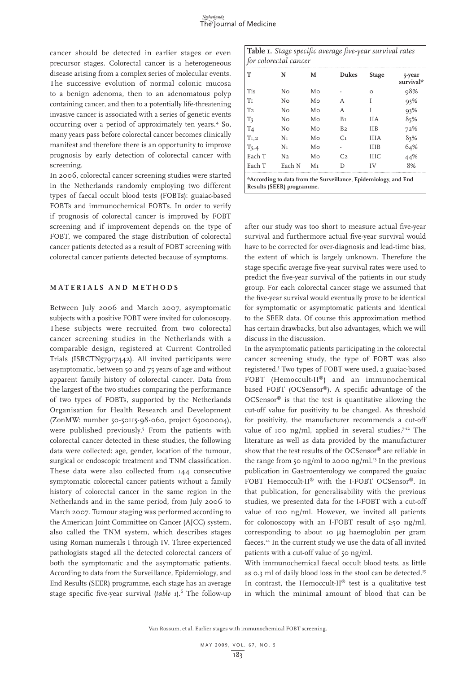cancer should be detected in earlier stages or even precursor stages. Colorectal cancer is a heterogeneous disease arising from a complex series of molecular events. The successive evolution of normal colonic mucosa to a benign adenoma, then to an adenomatous polyp containing cancer, and then to a potentially life-threatening invasive cancer is associated with a series of genetic events occurring over a period of approximately ten years.4 So, many years pass before colorectal cancer becomes clinically manifest and therefore there is an opportunity to improve prognosis by early detection of colorectal cancer with screening.

In 2006, colorectal cancer screening studies were started in the Netherlands randomly employing two different types of faecal occult blood tests (FOBTs): guaiac-based FOBTs and immunochemical FOBTs. In order to verify if prognosis of colorectal cancer is improved by FOBT screening and if improvement depends on the type of FOBT, we compared the stage distribution of colorectal cancer patients detected as a result of FOBT screening with colorectal cancer patients detected because of symptoms.

## **M a t e r i a l s a n d m e t h o d s**

Between July 2006 and March 2007, asymptomatic subjects with a positive FOBT were invited for colonoscopy. These subjects were recruited from two colorectal cancer screening studies in the Netherlands with a comparable design, registered at Current Controlled Trials (ISRCTN57917442). All invited participants were asymptomatic, between 50 and 75 years of age and without apparent family history of colorectal cancer. Data from the largest of the two studies comparing the performance of two types of FOBTs, supported by the Netherlands Organisation for Health Research and Development (ZonMW: number 50-50115-98-060, project 63000004), were published previously.<sup>5</sup> From the patients with colorectal cancer detected in these studies, the following data were collected: age, gender, location of the tumour, surgical or endoscopic treatment and TNM classification. These data were also collected from 144 consecutive symptomatic colorectal cancer patients without a family history of colorectal cancer in the same region in the Netherlands and in the same period, from July 2006 to March 2007. Tumour staging was performed according to the American Joint Committee on Cancer (AJCC) system, also called the TNM system, which describes stages using Roman numerals I through IV. Three experienced pathologists staged all the detected colorectal cancers of both the symptomatic and the asymptomatic patients. According to data from the Surveillance, Epidemiology, and End Results (SEER) programme, each stage has an average stage specific five-year survival (table 1).<sup>6</sup> The follow-up

**Table 1.** *Stage specific average five-year survival rates for colorectal cancer* **T N M Dukes Stage 5-year survival\*** Tis N0 M0 - 0 98% T1 N0 M0 A I 93% T2 N0 M0 A I 93% T3 N0 M0 B1 IIA 85% T4 N0 M0 B2 IIB 72% T1,2 N1 M0 C1 IIIA 83% T3,4 N1 M0 - IIIB 64% Each T N2 Mo C2 IIIC 44%

**\*According to data from the Surveillance, Epidemiology, and End Results (SEER) programme.**

Each T Each N M<sub>I</sub> D IV 8%

after our study was too short to measure actual five-year survival and furthermore actual five-year survival would have to be corrected for over-diagnosis and lead-time bias, the extent of which is largely unknown. Therefore the stage specific average five-year survival rates were used to predict the five-year survival of the patients in our study group. For each colorectal cancer stage we assumed that the five-year survival would eventually prove to be identical for symptomatic or asymptomatic patients and identical to the SEER data. Of course this approximation method has certain drawbacks, but also advantages, which we will discuss in the discussion.

In the asymptomatic patients participating in the colorectal cancer screening study, the type of FOBT was also registered.5 Two types of FOBT were used, a guaiac-based FOBT (Hemoccult-II®) and an immunochemical based FOBT (OCSensor®). A specific advantage of the OCSensor® is that the test is quantitative allowing the cut-off value for positivity to be changed. As threshold for positivity, the manufacturer recommends a cut-off value of 100 ng/ml, applied in several studies.<sup> $7$ -12</sup> The literature as well as data provided by the manufacturer show that the test results of the OCSensor® are reliable in the range from 50 ng/ml to 2000 ng/ml.<sup>13</sup> In the previous publication in Gastroenterology we compared the guaiac FOBT Hemoccult-II® with the I-FOBT OCSensor®. In that publication, for generalisability with the previous studies, we presented data for the I-FOBT with a cut-off value of 100 ng/ml. However, we invited all patients for colonoscopy with an I-FOBT result of  $\geq$ 50 ng/ml, corresponding to about 10 µg haemoglobin per gram faeces.14 In the current study we use the data of all invited patients with a cut-off value of 50 ng/ml.

With immunochemical faecal occult blood tests, as little as 0.3 ml of daily blood loss in the stool can be detected.<sup>15</sup> In contrast, the Hemoccult-II<sup>®</sup> test is a qualitative test in which the minimal amount of blood that can be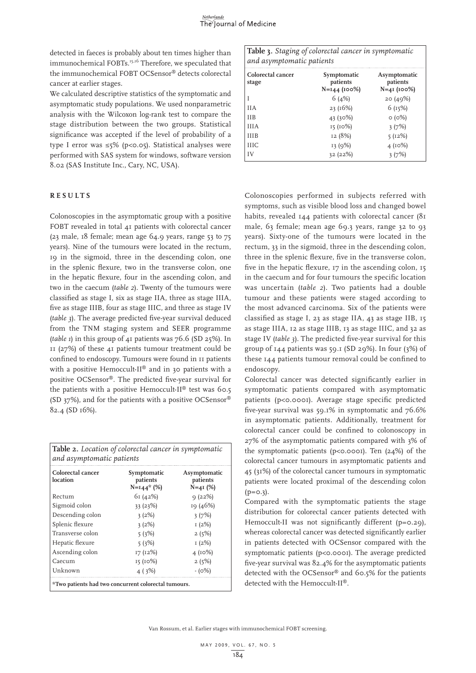detected in faeces is probably about ten times higher than immunochemical FOBTs.<sup>15,16</sup> Therefore, we speculated that the immunochemical FOBT OCSensor® detects colorectal cancer at earlier stages.

We calculated descriptive statistics of the symptomatic and asymptomatic study populations. We used nonparametric analysis with the Wilcoxon log-rank test to compare the stage distribution between the two groups. Statistical significance was accepted if the level of probability of a type I error was  $\leq$ 5% (p<0.05). Statistical analyses were performed with SAS system for windows, software version 8.02 (SAS Institute Inc., Cary, NC, USA).

## **R e s u l t s**

Colonoscopies in the asymptomatic group with a positive FOBT revealed in total 41 patients with colorectal cancer (23 male,  $18$  female; mean age  $64.9$  years, range  $53$  to  $75$ years). Nine of the tumours were located in the rectum, 19 in the sigmoid, three in the descending colon, one in the splenic flexure, two in the transverse colon, one in the hepatic flexure, four in the ascending colon, and two in the caecum (*table 2*). Twenty of the tumours were classified as stage I, six as stage IIA, three as stage IIIA, five as stage IIIB, four as stage IIIC, and three as stage IV (*table 3*). The average predicted five-year survival deduced from the TNM staging system and SEER programme (*table 1*) in this group of 41 patients was 76.6 (SD 25%). In 11 (27%) of these 41 patients tumour treatment could be confined to endoscopy. Tumours were found in 11 patients with a positive Hemoccult-II® and in 30 patients with a positive OCSensor®. The predicted five-year survival for the patients with a positive Hemoccult-II® test was 60.5 (SD 37%), and for the patients with a positive OCSensor® 82.4 (SD 16%).

| Colorectal cancer<br>location | Symptomatic<br>patients<br>$N=144*$ (%) | Asymptomatic<br>patients<br>$N=4I(%)$ |
|-------------------------------|-----------------------------------------|---------------------------------------|
| Rectum                        | 61(42%)                                 | 9(22%)                                |
| Sigmoid colon                 | 33(23%)                                 | 19 (46%)                              |
| Descending colon              | 3(2%)                                   | 3(7%)                                 |
| Splenic flexure               | 3(2%)                                   | I(2%)                                 |
| Transverse colon              | 5(3%)                                   | 2(5%)                                 |
| Hepatic flexure               | 5(3%)                                   | 1(2%)                                 |
| Ascending colon               | 17(12%)                                 | 4(10%)                                |
| Caecum                        | 15 (10%)                                | 2(5%)                                 |
| Unknown                       | 4(3%)                                   | $-(0%)$                               |

**Table 3.** *Staging of colorectal cancer in symptomatic and asymptomatic patients* **Colorectal cancer stage Symptomatic patients N=144 (100%) Asymptomatic patients N=41 (100%)**  $1$  6 (4%) 20 (49%) IIA  $23 \,(16\%)$  6 (15%)  $11B$   $43 (30%)$   $0 (0%)$ IIIA  $15 (10\%)$   $3 (7\%)$ IIIB  $12 (8%)$   $5 (12%)$ IIIC  $13 (9%)$   $4 (10%)$ IV  $32 (22%)$   $3 (7%)$ 

Colonoscopies performed in subjects referred with symptoms, such as visible blood loss and changed bowel habits, revealed 144 patients with colorectal cancer (81 male, 63 female; mean age 69.3 years, range 32 to 93 years). Sixty-one of the tumours were located in the rectum, 33 in the sigmoid, three in the descending colon, three in the splenic flexure, five in the transverse colon, five in the hepatic flexure, 17 in the ascending colon, 15 in the caecum and for four tumours the specific location was uncertain (*table 2*). Two patients had a double tumour and these patients were staged according to the most advanced carcinoma. Six of the patients were classified as stage I, 23 as stage IIA, 43 as stage IIB, 15 as stage IIIA, 12 as stage IIIB, 13 as stage IIIC, and 32 as stage IV (*table 3*). The predicted five-year survival for this group of 144 patients was 59.1 (SD 29%). In four (3%) of these 144 patients tumour removal could be confined to endoscopy.

Colorectal cancer was detected significantly earlier in symptomatic patients compared with asymptomatic patients (p<0.0001). Average stage specific predicted five-year survival was 59.1% in symptomatic and 76.6% in asymptomatic patients. Additionally, treatment for colorectal cancer could be confined to colonoscopy in 27% of the asymptomatic patients compared with 3% of the symptomatic patients ( $p<0.0001$ ). Ten (24%) of the colorectal cancer tumours in asymptomatic patients and 45 (31%) of the colorectal cancer tumours in symptomatic patients were located proximal of the descending colon  $(p=0.3)$ .

Compared with the symptomatic patients the stage distribution for colorectal cancer patients detected with Hemoccult-II was not significantly different (p=0.29), whereas colorectal cancer was detected significantly earlier in patients detected with OCSensor compared with the symptomatic patients (p<0.0001). The average predicted five-year survival was 82.4% for the asymptomatic patients detected with the OCSensor® and 60.5% for the patients detected with the Hemoccult-II®.

Van Rossum, et al. Earlier stages with immunochemical FOBT screening.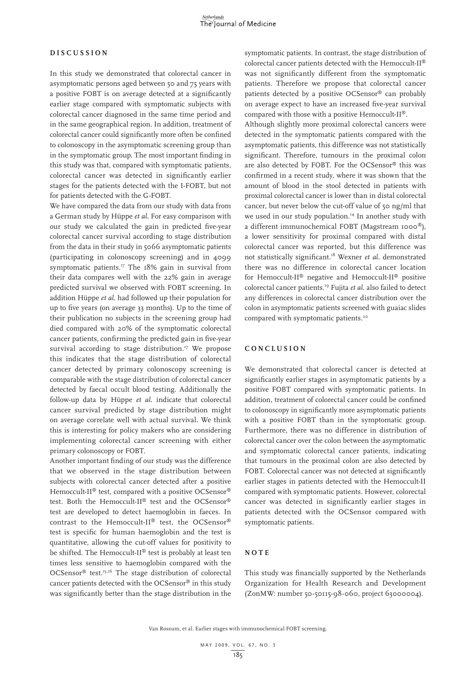### **D i s cu s s i o n**

In this study we demonstrated that colorectal cancer in asymptomatic persons aged between 50 and 75 years with a positive FOBT is on average detected at a significantly earlier stage compared with symptomatic subjects with colorectal cancer diagnosed in the same time period and in the same geographical region. In addition, treatment of colorectal cancer could significantly more often be confined to colonoscopy in the asymptomatic screening group than in the symptomatic group. The most important finding in this study was that, compared with symptomatic patients, colorectal cancer was detected in significantly earlier stages for the patients detected with the I-FOBT, but not for patients detected with the G-FOBT.

We have compared the data from our study with data from a German study by Hüppe *et al*. For easy comparison with our study we calculated the gain in predicted five-year colorectal cancer survival according to stage distribution from the data in their study in 5066 asymptomatic patients (participating in colonoscopy screening) and in 4099 symptomatic patients.<sup>17</sup> The 18% gain in survival from their data compares well with the 22% gain in average predicted survival we observed with FOBT screening. In addition Hüppe *et al*. had followed up their population for up to five years (on average 33 months). Up to the time of their publication no subjects in the screening group had died compared with 20% of the symptomatic colorectal cancer patients, confirming the predicted gain in five-year survival according to stage distribution.<sup>17</sup> We propose this indicates that the stage distribution of colorectal cancer detected by primary colonoscopy screening is comparable with the stage distribution of colorectal cancer detected by faecal occult blood testing. Additionally the follow-up data by Hüppe *et al*. indicate that colorectal cancer survival predicted by stage distribution might on average correlate well with actual survival. We think this is interesting for policy makers who are considering implementing colorectal cancer screening with either primary colonoscopy or FOBT.

Another important finding of our study was the difference that we observed in the stage distribution between subjects with colorectal cancer detected after a positive Hemoccult-II<sup>®</sup> test, compared with a positive OCSensor® test. Both the Hemoccult-II® test and the OCSensor® test are developed to detect haemoglobin in faeces. In contrast to the Hemoccult-II® test, the OCSensor® test is specific for human haemoglobin and the test is quantitative, allowing the cut-off values for positivity to be shifted. The Hemoccult-II® test is probably at least ten times less sensitive to haemoglobin compared with the OCSensor® test.15,16 The stage distribution of colorectal cancer patients detected with the OCSensor® in this study was significantly better than the stage distribution in the

symptomatic patients. In contrast, the stage distribution of colorectal cancer patients detected with the Hemoccult-II® was not significantly different from the symptomatic patients. Therefore we propose that colorectal cancer patients detected by a positive OCSensor® can probably on average expect to have an increased five-year survival compared with those with a positive Hemoccult-II®.

Although slightly more proximal colorectal cancers were detected in the symptomatic patients compared with the asymptomatic patients, this difference was not statistically significant. Therefore, tumours in the proximal colon are also detected by FOBT. For the OCSensor® this was confirmed in a recent study, where it was shown that the amount of blood in the stool detected in patients with proximal colorectal cancer is lower than in distal colorectal cancer, but never below the cut-off value of 50 ng/ml that we used in our study population.<sup>14</sup> In another study with a different immunochemical FOBT (Magstream 1000®), a lower sensitivity for proximal compared with distal colorectal cancer was reported, but this difference was not statistically significant.18 Wexner *et al*. demonstrated there was no difference in colorectal cancer location for Hemoccult-II® negative and Hemoccult-II® positive colorectal cancer patients.19 Fujita *et al*. also failed to detect any differences in colorectal cancer distribution over the colon in asymptomatic patients screened with guaiac slides compared with symptomatic patients.<sup>20</sup>

## **C o n c l u s i o n**

We demonstrated that colorectal cancer is detected at significantly earlier stages in asymptomatic patients by a positive FOBT compared with symptomatic patients. In addition, treatment of colorectal cancer could be confined to colonoscopy in significantly more asymptomatic patients with a positive FOBT than in the symptomatic group. Furthermore, there was no difference in distribution of colorectal cancer over the colon between the asymptomatic and symptomatic colorectal cancer patients, indicating that tumours in the proximal colon are also detected by FOBT. Colorectal cancer was not detected at significantly earlier stages in patients detected with the Hemoccult-II compared with symptomatic patients. However, colorectal cancer was detected in significantly earlier stages in patients detected with the OCSensor compared with symptomatic patients.

## **NOTE**

This study was financially supported by the Netherlands Organization for Health Research and Development (ZonMW: number 50-50115-98-060, project 63000004).